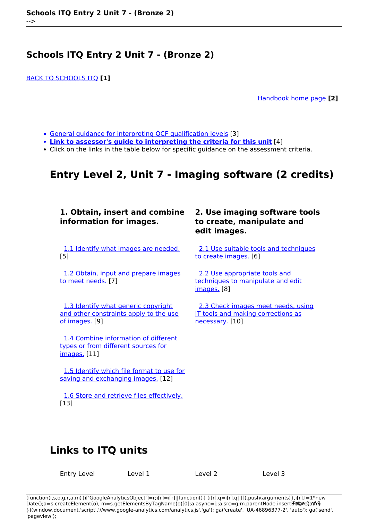[BACK TO SCHOOLS ITQ](https://theingots.org/community/ITQ_unit_development) **[1]**

[Handbook home page](https://theingots.org/community/handbook2) **[2]**

- [General guidance for interpreting QCF qualification levels](https://theingots.org/community/QCF_levels) [3]
- **[Link to assessor's guide to interpreting the criteria for this unit](https://theingots.org/community/SIEL2U1X)** [4]
- Click on the links in the table below for specific guidance on the assessment criteria.

# **Entry Level 2, Unit 7 - Imaging software (2 credits)**

### **1. Obtain, insert and combine information for images.**

 [1.1 Identify what images are needed.](https://theingots.org/community/siel2u7x#1.1) [5]

[1.2 Obtain, input and prepare images](https://theingots.org/community/siel2u7x#1.2) [to meet needs.](https://theingots.org/community/siel2u7x#1.2) [7]

 [1.3 Identify what generic copyright](https://theingots.org/community/siel2u7x#1.3) [and other constraints apply to the use](https://theingots.org/community/siel2u7x#1.3) [of images.](https://theingots.org/community/siel2u7x#1.3) [9]

 [1.4 Combine information of different](https://theingots.org/community/siel2u7x#1.4) [types or from different sources for](https://theingots.org/community/siel2u7x#1.4) [images.](https://theingots.org/community/siel2u7x#1.4) [11]

 [1.5 Identify which file format to use for](https://theingots.org/community/siel2u7x#1.5) [saving and exchanging images.](https://theingots.org/community/siel2u7x#1.5) [12]

 [1.6 Store and retrieve files effectively.](https://theingots.org/community/siel2u7x#1.6) [13]

## **2. Use imaging software tools to create, manipulate and edit images.**

[2.1 Use suitable tools and techniques](https://theingots.org/community/siel2u7x#2.1) [to create images.](https://theingots.org/community/siel2u7x#2.1) [6]

 [2.2 Use appropriate tools and](https://theingots.org/community/siel2u7x#2.2) [techniques to manipulate and edit](https://theingots.org/community/siel2u7x#2.2) [images.](https://theingots.org/community/siel2u7x#2.2) [8]

 [2.3 Check images meet needs, using](https://theingots.org/community/siel2u7x#2.3) [IT tools and making corrections as](https://theingots.org/community/siel2u7x#2.3) [necessary.](https://theingots.org/community/siel2u7x#2.3) [10]

# **Links to ITQ units**

Entry Level 1 Level 1 Level 2 Level 3

(function(i,s,o,g,r,a,m){i['GoogleAnalyticsObject']=r;i[r]=i[r]||function(){ (i[r].q=i[r].q||[]).push(arguments)},i[r].l=1\*new Date();a=s.createElement(o), m=s.getElementsByTagName(o)[0];a.async=1;a.src=g;m.parentNode.insertBහ@eetฺaภฺfr9 })(window,document,'script','//www.google-analytics.com/analytics.js','ga'); ga('create', 'UA-46896377-2', 'auto'); ga('send', 'pageview');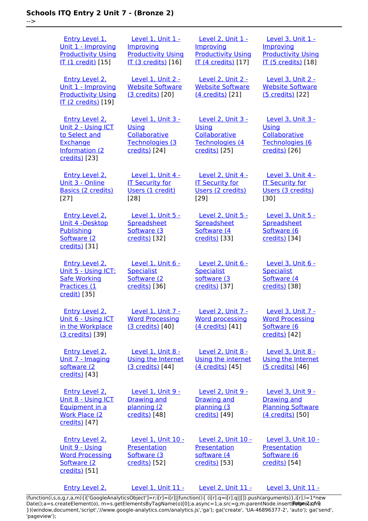-->

 [Entry Level 1,](https://theingots.org/community/siel1u1) [Unit 1 - Improving](https://theingots.org/community/siel1u1) [Productivity Using](https://theingots.org/community/siel1u1) [IT \(1 credit\)](https://theingots.org/community/siel1u1) [15] [Level 1, Unit 1 -](https://theingots.org/community/sil1u1) [Improving](https://theingots.org/community/sil1u1) [Productivity Using](https://theingots.org/community/sil1u1) [IT \(3 credits\)](https://theingots.org/community/sil1u1) [16] [Level 2, Unit 1 -](https://theingots.org/community/sil2u1) [Improving](https://theingots.org/community/sil2u1) [Productivity Using](https://theingots.org/community/sil2u1) [IT \(4 credits\)](https://theingots.org/community/sil2u1) [17] [Level 3, Unit 1 -](https://theingots.org/community/sil3u1) [Improving](https://theingots.org/community/sil3u1) [Productivity Using](https://theingots.org/community/sil3u1) [IT \(5 credits\)](https://theingots.org/community/sil3u1) [18] [Entry Level 2,](https://theingots.org/community/siel2u1) [Unit 1 - Improving](https://theingots.org/community/siel2u1) [Productivity Using](https://theingots.org/community/siel2u1) [IT \(2 credits\)](https://theingots.org/community/siel2u1) [19] [Level 1, Unit 2 -](https://theingots.org/community/sil1u2) [Website Software](https://theingots.org/community/sil1u2) [\(3 credits\)](https://theingots.org/community/sil1u2) [20] [Level 2, Unit 2 -](https://theingots.org/community/sil2u2) [Website Software](https://theingots.org/community/sil2u2) [\(4 credits\)](https://theingots.org/community/sil2u2) [21] [Level 3, Unit 2 -](https://theingots.org/community/sil3u2) [Website Software](https://theingots.org/community/sil3u2) [\(5 credits\)](https://theingots.org/community/sil3u2) [22] [Entry Level 2,](https://theingots.org/community/siel2u2) [Unit 2 - Using ICT](https://theingots.org/community/siel2u2) [to Select and](https://theingots.org/community/siel2u2) **[Exchange](https://theingots.org/community/siel2u2)** [Information \(2](https://theingots.org/community/siel2u2) [credits\)](https://theingots.org/community/siel2u2) [23] [Level 1, Unit 3 -](https://theingots.org/community/sil1u3) [Using](https://theingots.org/community/sil1u3) **[Collaborative](https://theingots.org/community/sil1u3)** [Technologies \(3](https://theingots.org/community/sil1u3) [credits\)](https://theingots.org/community/sil1u3) [24] [Level 2, Unit 3 -](https://theingots.org/community/sil2u3) **[Using](https://theingots.org/community/sil2u3) [Collaborative](https://theingots.org/community/sil2u3)** [Technologies \(4](https://theingots.org/community/sil2u3) [credits\)](https://theingots.org/community/sil2u3) [25] [Level 3, Unit 3 -](https://theingots.org/community/sil3u3) **[Using](https://theingots.org/community/sil3u3) [Collaborative](https://theingots.org/community/sil3u3)** [Technologies \(6](https://theingots.org/community/sil3u3) [credits\)](https://theingots.org/community/sil3u3) [26] [Entry Level 2,](https://theingots.org/community/siel2u3) [Unit 3 - Online](https://theingots.org/community/siel2u3) [Basics \(2 credits\)](https://theingots.org/community/siel2u3) [27] [Level 1, Unit 4 -](https://theingots.org/community/sil1u4) **[IT Security for](https://theingots.org/community/sil1u4)** [Users \(1 credit\)](https://theingots.org/community/sil1u4) [28] [Level 2, Unit 4 -](https://theingots.org/community/sil2u4) **[IT Security for](https://theingots.org/community/sil2u4)** [Users \(2 credits\)](https://theingots.org/community/sil2u4) [29] [Level 3, Unit 4 -](https://theingots.org/community/sil3u4) **[IT Security for](https://theingots.org/community/sil3u4)** [Users \(3 credits\)](https://theingots.org/community/sil3u4) [30] [Entry Level 2,](https://theingots.org/community/siel2u4) [Unit 4 -Desktop](https://theingots.org/community/siel2u4) [Publishing](https://theingots.org/community/siel2u4) [Software \(2](https://theingots.org/community/siel2u4) [credits\)](https://theingots.org/community/siel2u4) [31] **[Level 1, Unit 5 -](https://theingots.org/community/sil1u5) [Spreadsheet](https://theingots.org/community/sil1u5)** [Software \(3](https://theingots.org/community/sil1u5)) [credits\)](https://theingots.org/community/sil1u5) [32] [Level 2, Unit 5 -](https://theingots.org/community/sil2u5) **[Spreadsheet](https://theingots.org/community/sil2u5)** [Software \(4](https://theingots.org/community/sil2u5) [credits\)](https://theingots.org/community/sil2u5) [33] [Level 3, Unit 5 -](https://theingots.org/community/sil3u5) **[Spreadsheet](https://theingots.org/community/sil3u5)** [Software \(6](https://theingots.org/community/sil3u5) [credits\)](https://theingots.org/community/sil3u5) [34] [Entry Level 2,](https://theingots.org/community/siel2u5) [Unit 5 - Using ICT:](https://theingots.org/community/siel2u5) [Safe Working](https://theingots.org/community/siel2u5) [Practices \(1](https://theingots.org/community/siel2u5) [credit\)](https://theingots.org/community/siel2u5) [35] [Level 1, Unit 6 -](https://theingots.org/community/sil1u6) **[Specialist](https://theingots.org/community/sil1u6)** [Software \(2](https://theingots.org/community/sil1u6) [credits\)](https://theingots.org/community/sil1u6) [36] [Level 2, Unit 6 -](https://theingots.org/community/sil2u6) **[Specialist](https://theingots.org/community/sil2u6)** [software \(3](https://theingots.org/community/sil2u6) [credits\)](https://theingots.org/community/sil2u6) [37] [Level 3, Unit 6 -](https://theingots.org/community/sil3u6) **[Specialist](https://theingots.org/community/sil3u6)** [Software \(4](https://theingots.org/community/sil3u6)) [credits\)](https://theingots.org/community/sil3u6) [38] [Entry Level 2,](https://theingots.org/community/siel2u6) [Unit 6 - Using ICT](https://theingots.org/community/siel2u6) [in the Workplace](https://theingots.org/community/siel2u6) [\(3 credits\)](https://theingots.org/community/siel2u6) [39] [Level 1, Unit 7 -](https://theingots.org/community/sil1u7) [Word Processing](https://theingots.org/community/sil1u7) [\(3 credits\)](https://theingots.org/community/sil1u7) [40] [Level 2, Unit 7 -](https://theingots.org/community/sil2u7) [Word processing](https://theingots.org/community/sil2u7) [\(4 credits\)](https://theingots.org/community/sil2u7) [41] [Level 3, Unit 7 -](https://theingots.org/community/sil3u7) [Word Processing](https://theingots.org/community/sil3u7) [Software \(6](https://theingots.org/community/sil3u7) [credits\)](https://theingots.org/community/sil3u7) [42] [Entry Level 2,](https://theingots.org/community/siel2u7) [Unit 7 - Imaging](https://theingots.org/community/siel2u7) [software \(2](https://theingots.org/community/siel2u7) [credits\)](https://theingots.org/community/siel2u7) [43] [Level 1, Unit 8 -](https://theingots.org/community/sil1u8) [Using the Internet](https://theingots.org/community/sil1u8) [\(3 credits\)](https://theingots.org/community/sil1u8) [44] [Level 2, Unit 8 -](https://theingots.org/community/sil2u8) [Using the internet](https://theingots.org/community/sil2u8) [\(4 credits\)](https://theingots.org/community/sil2u8) [45] [Level 3, Unit 8 -](https://theingots.org/community/sil3u8) [Using the Internet](https://theingots.org/community/sil3u8) [\(5 credits\)](https://theingots.org/community/sil3u8) [46] [Entry Level 2,](https://theingots.org/community/siel2u8) [Unit 8 - Using ICT](https://theingots.org/community/siel2u8) [Equipment in a](https://theingots.org/community/siel2u8) [Work Place \(2](https://theingots.org/community/siel2u8) [credits\)](https://theingots.org/community/siel2u8) [47] [Level 1, Unit 9 -](https://theingots.org/community/sil1u9) [Drawing and](https://theingots.org/community/sil1u9) [planning \(2](https://theingots.org/community/sil1u9) [credits\)](https://theingots.org/community/sil1u9) [48] [Level 2, Unit 9 -](https://theingots.org/community/sil2u9) [Drawing and](https://theingots.org/community/sil2u9) [planning \(3](https://theingots.org/community/sil2u9) [credits\)](https://theingots.org/community/sil2u9) [49] [Level 3, Unit 9 -](https://theingots.org/community/sil3u9) [Drawing and](https://theingots.org/community/sil3u9) [Planning Software](https://theingots.org/community/sil3u9) [\(4 credits\)](https://theingots.org/community/sil3u9) [50] [Entry Level 2,](https://theingots.org/community/siel2u9) [Unit 9 - Using](https://theingots.org/community/siel2u9) [Word Processing](https://theingots.org/community/siel2u9) [Software \(2](https://theingots.org/community/siel2u9) [credits\)](https://theingots.org/community/siel2u9) [51] [Level 1, Unit 10 -](https://theingots.org/community/sil1u10) [Presentation](https://theingots.org/community/sil1u10) [Software \(3](https://theingots.org/community/sil1u10) [credits\)](https://theingots.org/community/sil1u10) [52] [Level 2, Unit 10 -](https://theingots.org/community/sil2u10) [Presentation](https://theingots.org/community/sil2u10) [software \(4](https://theingots.org/community/sil2u10) [credits\)](https://theingots.org/community/sil2u10) [53] [Level 3, Unit 10 -](https://theingots.org/community/sil3u10) [Presentation](https://theingots.org/community/sil3u10) [Software \(6](https://theingots.org/community/sil3u10) [credits\)](https://theingots.org/community/sil3u10) [54] [Entry Level 2,](https://theingots.org/community/siel2u10) [Level 1, Unit 11 -](https://theingots.org/community/sil1u11) [Level 2, Unit 11 -](https://theingots.org/community/sil2u11) [Level 3, Unit 11 -](https://theingots.org/community/sil3u11)

[\(function\(i,s,o,g,r,a,m\){i\['GoogleAnalyticsObject'\]=r;i\[r\]=i\[r\]||function\(\){ \(i\[r\].q=i\[r\].q||\[\]\).push\(arguments\)},i\[r\].l=1\\*new](https://theingots.org/community/siel2u10) Date();a=s.createElement(o), m=s.getElementsByTagName(o)[0];a.async=1;a.src=g;m.parentNode.insertBහ@eේ a,mp [}\)\(window,document,'script','//www.google-analytics.com/analytics.js','ga'\); ga\('create', 'UA-46896377-2', 'auto'\); ga\('send',](https://theingots.org/community/siel2u10) ['pageview'\);](https://theingots.org/community/siel2u10)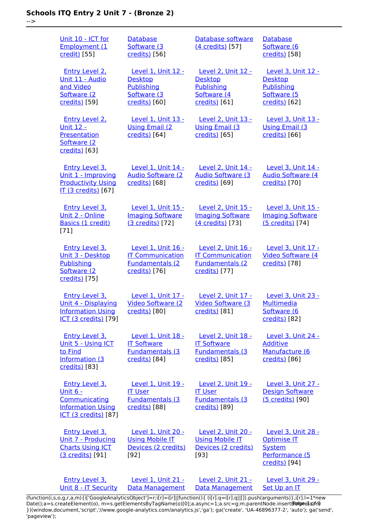|  | ×<br>. .<br>٠<br>۰.<br>٠ |
|--|--------------------------|

| Unit 10 - ICT for<br>Employment (1<br>credit) [55]                                                              | <b>Database</b><br>Software (3<br>credits) [56]                                           | Database software<br>(4 credits) [57]                                                    | <b>Database</b><br>Software (6<br>credits) [58]                                              |
|-----------------------------------------------------------------------------------------------------------------|-------------------------------------------------------------------------------------------|------------------------------------------------------------------------------------------|----------------------------------------------------------------------------------------------|
| <b>Entry Level 2.</b><br>Unit 11 - Audio<br>and Video<br>Software (2<br>credits) [59]                           | Level 1, Unit 12 -<br><b>Desktop</b><br><b>Publishing</b><br>Software (3<br>credits) [60] | Level 2, Unit 12 -<br><b>Desktop</b><br>Publishing<br>Software (4<br>credits) [61]       | Level 3, Unit 12 -<br><b>Desktop</b><br><b>Publishing</b><br>Software (5<br>credits) [62]    |
| <b>Entry Level 2.</b><br><u> Unit 12 -</u><br>Presentation<br>Software (2<br>credits) [63]                      | <b>Level 1, Unit 13 -</b><br><b>Using Email (2)</b><br>credits) [64]                      | Level 2, Unit 13 -<br><b>Using Email (3)</b><br>credits) [65]                            | Level 3, Unit 13 -<br><b>Using Email (3)</b><br>credits) [66]                                |
| Entry Level 3,<br>Unit 1 - Improving<br><b>Productivity Using</b><br><b>IT (3 credits)</b> [67]                 | Level 1, Unit 14 -<br><b>Audio Software (2)</b><br>credits) [68]                          | Level 2. Unit 14 -<br><b>Audio Software (3)</b><br>credits) [69]                         | Level 3, Unit 14 -<br><b>Audio Software (4)</b><br>credits) [70]                             |
| <b>Entry Level 3.</b><br>Unit 2 - Online<br>Basics (1 credit)<br>$[71]$                                         | Level 1, Unit 15 -<br><b>Imaging Software</b><br>(3 credits) [72]                         | Level 2, Unit 15 -<br><b>Imaging Software</b><br>(4 credits) [73]                        | Level 3, Unit 15 -<br><b>Imaging Software</b><br>(5 credits) [74]                            |
| Entry Level 3,<br>Unit 3 - Desktop<br>Publishing<br>Software (2)<br>credits) [75]                               | Level 1, Unit 16 -<br><b>IT Communication</b><br><b>Fundamentals (2</b><br>credits) [76]  | Level 2. Unit 16 -<br><b>IT Communication</b><br><b>Fundamentals (2</b><br>credits) [77] | Level 3, Unit 17 -<br>Video Software (4<br>credits) [78]                                     |
| <b>Entry Level 3.</b><br>Unit 4 - Displaying<br><b>Information Using</b><br><b>ICT (3 credits)</b> [79]         | Level 1, Unit 17 -<br>Video Software (2<br>credits) [80]                                  | Level 2, Unit 17 -<br>Video Software (3<br>credits) [81]                                 | Level 3, Unit 23 -<br><u>Multimedia</u><br>Software (6<br>credits) [82]                      |
| Entry Level 3,<br>Unit 5 - Using ICT<br>to Find<br>Information (3<br>credits) [83]                              | Level 1. Unit 18 -<br><b>IT Software</b><br><b>Fundamentals (3</b><br>credits) [84]       | Level 2, Unit 18 -<br><b>IT Software</b><br><b>Fundamentals (3</b><br>credits) [85]      | <b>Level 3. Unit 24 -</b><br><b>Additive</b><br>Manufacture (6<br>credits) [86]              |
| <b>Entry Level 3.</b><br>Unit $6 -$<br>Communicating<br><b>Information Using</b><br><b>ICT (3 credits)</b> [87] | <b>Level 1, Unit 19 -</b><br><b>IT User</b><br><b>Fundamentals (3</b><br>credits) [88]    | Level 2, Unit 19 -<br><b>IT User</b><br><b>Fundamentals (3)</b><br>credits) [89]         | Level 3, Unit 27 -<br><b>Design Software</b><br>(5 credits) [90]                             |
| <b>Entry Level 3.</b><br>Unit 7 - Producing<br><b>Charts Using ICT</b><br>(3 credits) [91]                      | <b>Level 1, Unit 20 -</b><br><b>Using Mobile IT</b><br>Devices (2 credits)<br>$[92]$      | <b>Level 2, Unit 20 -</b><br><b>Using Mobile IT</b><br>Devices (2 credits)<br>[93]       | <b>Level 3, Unit 28 -</b><br>Optimise IT<br><b>System</b><br>Performance (5<br>credits) [94] |
| <b>Entry Level 3.</b><br>Unit 8 - IT Security                                                                   | <b>Level 1, Unit 21 -</b><br>Data Management                                              | <b>Level 2, Unit 21 -</b><br><b>Data Management</b>                                      | <b>Level 3, Unit 29 -</b><br>Set Up an IT                                                    |

[\(function\(i,s,o,g,r,a,m\){i\['GoogleAnalyticsObject'\]=r;i\[r\]=i\[r\]||function\(\){ \(i\[r\].q=i\[r\].q||\[\]\).push\(arguments\)},i\[r\].l=1\\*new](https://theingots.org/community/siel3u4) Date();a=s.createElement(o), m=s.getElementsByTagName(o)[0];a.async=1;a.src=g;m.parentNode.insert**Before**e{a,mf} [}\)\(window,document,'script','//www.google-analytics.com/analytics.js','ga'\); ga\('create', 'UA-46896377-2', 'auto'\); ga\('send',](https://theingots.org/community/siel3u4) ['pageview'\);](https://theingots.org/community/siel3u4) Pagore3a, frB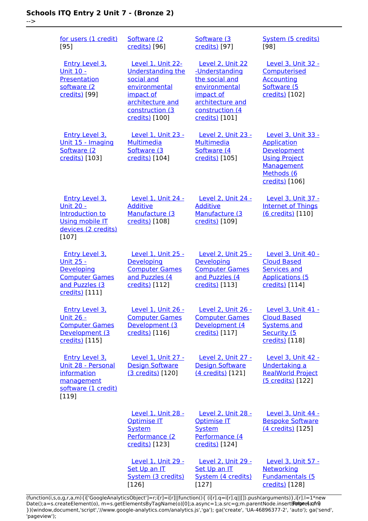-->

| for users (1 credit)<br>[95]                                                                                             | Software (2)<br>credits) [96]                                                                                                                      | Software (3)<br>credits) [97]                                                                                                               | System (5 credits)<br>[98]                                                                                                    |
|--------------------------------------------------------------------------------------------------------------------------|----------------------------------------------------------------------------------------------------------------------------------------------------|---------------------------------------------------------------------------------------------------------------------------------------------|-------------------------------------------------------------------------------------------------------------------------------|
| <b>Entry Level 3.</b><br>Unit 10 -<br>Presentation<br>software (2<br>credits) [99]                                       | Level 1, Unit 22-<br><b>Understanding the</b><br>social and<br>environmental<br>impact of<br>architecture and<br>construction (3<br>credits) [100] | Level 2, Unit 22<br>-Understanding<br>the social and<br>environmental<br>impact of<br>architecture and<br>construction (4<br>credits) [101] | Level 3, Unit 32 -<br>Computerised<br><b>Accounting</b><br>Software (5<br>credits) [102]                                      |
| <b>Entry Level 3,</b><br>Unit 15 - Imaging<br>Software (2)<br>credits) [103]                                             | <b>Level 1. Unit 23 -</b><br><b>Multimedia</b><br>Software (3<br>credits) [104]                                                                    | <b>Level 2, Unit 23 -</b><br><b>Multimedia</b><br>Software (4<br>credits) [105]                                                             | Level 3, Unit 33 -<br><b>Application</b><br>Development<br><b>Using Project</b><br>Management<br>Methods (6<br>credits) [106] |
| <b>Entry Level 3.</b><br><b>Unit 20 -</b><br>Introduction to<br><b>Using mobile IT</b><br>devices (2 credits)<br>$[107]$ | Level 1, Unit 24 -<br><b>Additive</b><br>Manufacture (3<br>credits) [108]                                                                          | Level 2, Unit 24 -<br><b>Additive</b><br>Manufacture (3<br>credits) [109]                                                                   | Level 3, Unit 37 -<br><b>Internet of Things</b><br>(6 credits) [110]                                                          |
| <b>Entry Level 3.</b><br><u>Unit 25 -</u><br>Developing<br><b>Computer Games</b><br>and Puzzles (3<br>credits) [111]     | Level 1, Unit 25 -<br>Developing<br><b>Computer Games</b><br>and Puzzles (4<br>credits) [112]                                                      | Level 2, Unit 25 -<br>Developing<br><b>Computer Games</b><br>and Puzzles (4<br>credits) [113]                                               | Level 3, Unit 40 -<br><b>Cloud Based</b><br><b>Services and</b><br><b>Applications (5</b><br>credits) [114]                   |
| <b>Entry Level 3.</b><br><u> Unit 26 -</u><br><b>Computer Games</b><br>Development (3<br>credits) [115]                  | Level 1, Unit 26 -<br><b>Computer Games</b><br>Development (3<br>credits) [116]                                                                    | Level 2, Unit 26 -<br><b>Computer Games</b><br>Development (4<br>credits) [117]                                                             | Level 3, Unit 41 -<br><b>Cloud Based</b><br><b>Systems and</b><br>Security (5<br>credits) [118]                               |
| <b>Entry Level 3.</b><br>Unit 28 - Personal<br>information<br>management<br>software (1 credit)<br>[119]                 | Level 1, Unit 27 -<br><b>Design Software</b><br>(3 credits) [120]                                                                                  | Level 2, Unit 27 -<br><b>Design Software</b><br>(4 credits) [121]                                                                           | Level 3, Unit 42 -<br>Undertaking a<br><b>RealWorld Project</b><br>(5 credits) [122]                                          |
|                                                                                                                          | Level 1, Unit 28 -<br><b>Optimise IT</b><br>System<br>Performance (2<br>credits) [123]                                                             | Level 2, Unit 28 -<br>Optimise IT<br><b>System</b><br>Performance (4<br>credits) [124]                                                      | Level 3, Unit 44 -<br><b>Bespoke Software</b><br>(4 credits) [125]                                                            |
|                                                                                                                          | Level 1, Unit 29 -<br>Set Up an IT<br>System (3 credits)<br>[126]                                                                                  | <b>Level 2, Unit 29 -</b><br>Set Up an IT<br>System (4 credits)<br>$[127]$                                                                  | Level 3, Unit 57 -<br>Networking<br><b>Fundamentals (5</b><br>credits) [128]                                                  |

(function(i,s,o,g,r,a,m){i['GoogleAnalyticsObject']=r;i[r]=i[r]||function(){ (i[r].q=i[r].q||[]).push(arguments)},i[r].l=1\*new Date();a=s.createElement(o), m=s.getElementsByTagName(o)[0];a.async=1;a.src=g;m.parentNode.insert**Bෂ@e4**a,m9 })(window,document,'script','//www.google-analytics.com/analytics.js','ga'); ga('create', 'UA-46896377-2', 'auto'); ga('send', 'pageview'); Page 4 of 9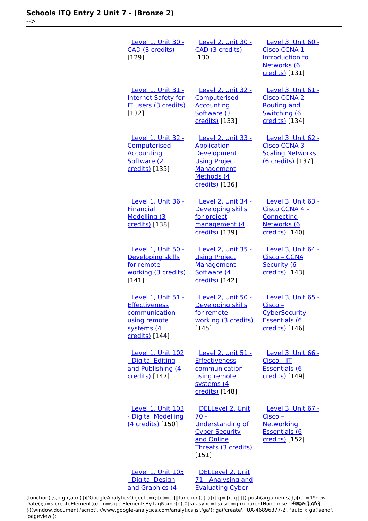-->

| <b>Level 1, Unit 30 -</b><br>CAD (3 credits)<br>[129]                                                       | <u>Level 2, Unit 30 -</u><br>CAD (3 credits)<br>[130]                                                                                | Level 3, Unit 60 -<br>Cisco CCNA 1 -<br>Introduction to<br>Networks (6<br>credits) [131]              |
|-------------------------------------------------------------------------------------------------------------|--------------------------------------------------------------------------------------------------------------------------------------|-------------------------------------------------------------------------------------------------------|
| <b>Level 1, Unit 31 -</b><br><b>Internet Safety for</b><br>IT users (3 credits)<br>[132]                    | Level 2, Unit 32 -<br>Computerised<br><b>Accounting</b><br>Software (3<br>credits) [133]                                             | Level 3, Unit 61 -<br>Cisco CCNA 2 -<br><b>Routing and</b><br>Switching (6<br>credits) [134]          |
| Level 1, Unit 32 -<br>Computerised<br><b>Accounting</b><br>Software (2)<br>credits) [135]                   | Level 2, Unit 33 -<br><b>Application</b><br>Development<br><b>Using Project</b><br><b>Management</b><br>Methods (4<br>credits) [136] | Level 3, Unit 62 -<br>Cisco CCNA 3 -<br><b>Scaling Networks</b><br>(6 credits) [137]                  |
| Level 1, Unit 36 -<br><b>Financial</b><br>Modelling (3<br>credits) [138]                                    | <u>Level 2, Unit 34 -</u><br>Developing skills<br>for project<br>management (4<br>credits) [139]                                     | Level 3, Unit 63 -<br>Cisco CCNA 4 -<br>Connecting<br>Networks (6<br>credits) [140]                   |
| Level 1, Unit 50 -<br>Developing skills<br>for remote<br>working (3 credits)<br>[141]                       | Level 2, Unit 35 -<br><b>Using Project</b><br><b>Management</b><br>Software (4<br>credits) [142]                                     | Level 3, Unit 64 -<br>Cisco - CCNA<br>Security (6<br>credits) [143]                                   |
| Level 1, Unit 51 -<br><b>Effectiveness</b><br>communication<br>using remote<br>systems (4<br>credits) [144] | Level 2, Unit 50 -<br>Developing skills<br>for remote<br>working (3 credits)<br>[145]                                                | Level 3, Unit 65 -<br>Cisco -<br><b>CyberSecurity</b><br><b>Essentials (6</b><br>credits) [146]       |
| <b>Level 1, Unit 102</b><br>- Digital Editing<br>and Publishing (4<br>credits) [147]                        | Level 2, Unit 51 -<br><b>Effectiveness</b><br>communication<br>using remote<br>systems (4<br>credits) [148]                          | Level 3, Unit 66 -<br>Cisco - IT<br><b>Essentials (6</b><br>credits) [149]                            |
| <b>Level 1, Unit 103</b><br>- Digital Modelling<br>(4 credits) [150]                                        | DELLevel 2, Unit<br>$70 -$<br><b>Understanding of</b><br><b>Cyber Security</b><br>and Online<br>Threats (3 credits)<br>[151]         | Level 3, Unit 67 -<br><u> Cisco – </u><br><b>Networking</b><br><b>Essentials (6</b><br>credits) [152] |
| <b>Level 1, Unit 105</b><br>- Digital Design<br>and Graphics (4                                             | DELLevel 2, Unit<br>71 - Analysing and<br><b>Evaluating Cyber</b>                                                                    |                                                                                                       |

[\(function\(i,s,o,g,r,a,m\){i\['GoogleAnalyticsObject'\]=r;i\[r\]=i\[r\]||function\(\){ \(i\[r\].q=i\[r\].q||\[\]\).push\(arguments\)},i\[r\].l=1\\*new](https://theingots.org/community/sil1u105) Date();a=s.createElement(o), m=s.getElementsByTagName(o)[0];a.async=1;a.src=g;m.parentNode.insert**Before**e{a,mf} [}\)\(window,document,'script','//www.google-analytics.com/analytics.js','ga'\); ga\('create', 'UA-46896377-2', 'auto'\); ga\('send',](https://theingots.org/community/sil1u105) ['pageview'\);](https://theingots.org/community/sil1u105) Pangred a fra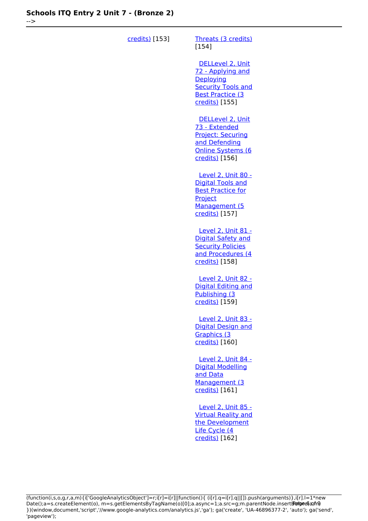-->

| credits) [153] | Threats (3 credits)<br>$[154]$                                                                                                |
|----------------|-------------------------------------------------------------------------------------------------------------------------------|
|                | DELLevel 2, Unit<br>72 - Applying and<br>Deploying<br><b>Security Tools and</b><br><b>Best Practice (3)</b><br>credits) [155] |
|                | DELLevel 2, Unit<br>73 - Extended<br><b>Project: Securing</b><br>and Defending<br><b>Online Systems (6</b><br>credits) [156]  |
|                | Level 2, Unit 80 -<br><b>Digital Tools and</b><br><b>Best Practice for</b><br>Project<br>Management (5<br>credits) [157]      |
|                | <b>Level 2, Unit 81 -</b><br>Digital Safety and<br><b>Security Policies</b><br>and Procedures (4<br>credits) [158]            |
|                | Level 2, Unit 82 -<br><b>Digital Editing and</b><br>Publishing (3)<br>credits) [159]                                          |
|                | Level 2, Unit 83 -<br><b>Digital Design and</b><br>Graphics (3<br>credits) [160]                                              |
|                | Level 2, Unit 84 -<br><b>Digital Modelling</b><br>and Data<br>Management (3<br>credits) [161]                                 |
|                | <b>Level 2, Unit 85 -</b><br><b>Virtual Reality and</b><br>the Development<br>Life Cycle (4<br>credits) [162]                 |

(function(i,s,o,g,r,a,m){i['GoogleAnalyticsObject']=r;i[r]=i[r]||function(){ (i[r].q=i[r].q||[]).push(arguments)},i[r].l=1\*new Date();a=s.createElement(o), m=s.getElementsByTagName(o)[0];a.async=1;a.src=g;m.parentNode.insert**Before**e(a,mf) })(window,document,'script','//www.google-analytics.com/analytics.js','ga'); ga('create', 'UA-46896377-2', 'auto'); ga('send', 'pageview'); Paggree@apfrB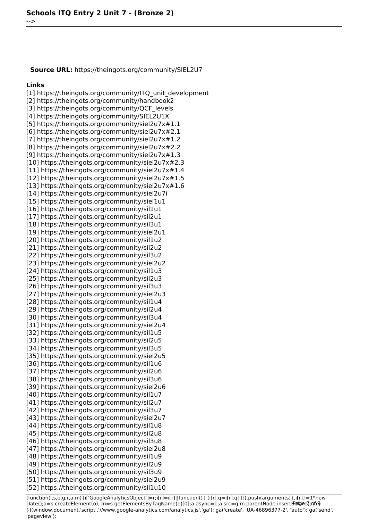**Source URL:** https://theingots.org/community/SIEL2U7

#### **Links**

-->

[1] https://theingots.org/community/ITQ\_unit\_development [2] https://theingots.org/community/handbook2 [3] https://theingots.org/community/QCF\_levels [4] https://theingots.org/community/SIEL2U1X [5] https://theingots.org/community/siel2u7x#1.1 [6] https://theingots.org/community/siel2u7x#2.1 [7] https://theingots.org/community/siel2u7x#1.2 [8] https://theingots.org/community/siel2u7x#2.2 [9] https://theingots.org/community/siel2u7x#1.3 [10] https://theingots.org/community/siel2u7x#2.3 [11] https://theingots.org/community/siel2u7x#1.4 [12] https://theingots.org/community/siel2u7x#1.5 [13] https://theingots.org/community/siel2u7x#1.6 [14] https://theingots.org/community/siel2u7i [15] https://theingots.org/community/siel1u1 [16] https://theingots.org/community/sil1u1 [17] https://theingots.org/community/sil2u1 [18] https://theingots.org/community/sil3u1 [19] https://theingots.org/community/siel2u1 [20] https://theingots.org/community/sil1u2 [21] https://theingots.org/community/sil2u2 [22] https://theingots.org/community/sil3u2 [23] https://theingots.org/community/siel2u2 [24] https://theingots.org/community/sil1u3 [25] https://theingots.org/community/sil2u3 [26] https://theingots.org/community/sil3u3 [27] https://theingots.org/community/siel2u3 [28] https://theingots.org/community/sil1u4 [29] https://theingots.org/community/sil2u4 [30] https://theingots.org/community/sil3u4 [31] https://theingots.org/community/siel2u4 [32] https://theingots.org/community/sil1u5 [33] https://theingots.org/community/sil2u5 [34] https://theingots.org/community/sil3u5 [35] https://theingots.org/community/siel2u5 [36] https://theingots.org/community/sil1u6 [37] https://theingots.org/community/sil2u6 [38] https://theingots.org/community/sil3u6 [39] https://theingots.org/community/siel2u6 [40] https://theingots.org/community/sil1u7 [41] https://theingots.org/community/sil2u7 [42] https://theingots.org/community/sil3u7 [43] https://theingots.org/community/siel2u7 [44] https://theingots.org/community/sil1u8 [45] https://theingots.org/community/sil2u8 [46] https://theingots.org/community/sil3u8 [47] https://theingots.org/community/siel2u8 [48] https://theingots.org/community/sil1u9 [49] https://theingots.org/community/sil2u9 [50] https://theingots.org/community/sil3u9 [51] https://theingots.org/community/siel2u9 [52] https://theingots.org/community/sil1u10

(function(i,s,o,g,r,a,m){i['GoogleAnalyticsObject']=r;i[r]=i[r]||function(){ (i[r].q=i[r].q||[]).push(arguments)},i[r].l=1\*new Date();a=s.createElement(o), m=s.getElementsByTagName(o)[0];a.async=1;a.src=g;m.parentNode.insertBefore?aንfrዓ })(window,document,'script','//www.google-analytics.com/analytics.js','ga'); ga('create', 'UA-46896377-2', 'auto'); ga('send', 'pageview');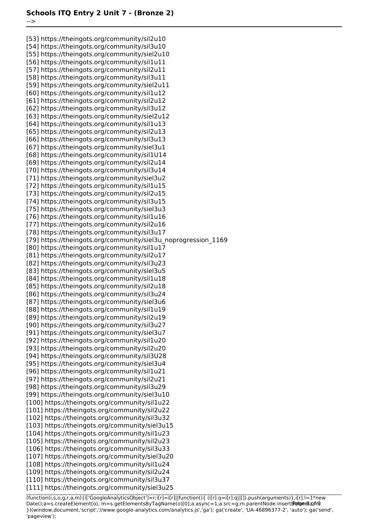-->

[53] https://theingots.org/community/sil2u10 [54] https://theingots.org/community/sil3u10 [55] https://theingots.org/community/siel2u10 [56] https://theingots.org/community/sil1u11 [57] https://theingots.org/community/sil2u11 [58] https://theingots.org/community/sil3u11 [59] https://theingots.org/community/siel2u11 [60] https://theingots.org/community/sil1u12 [61] https://theingots.org/community/sil2u12 [62] https://theingots.org/community/sil3u12 [63] https://theingots.org/community/siel2u12 [64] https://theingots.org/community/sil1u13 [65] https://theingots.org/community/sil2u13 [66] https://theingots.org/community/sil3u13 [67] https://theingots.org/community/siel3u1 [68] https://theingots.org/community/sil1U14 [69] https://theingots.org/community/sil2u14 [70] https://theingots.org/community/sil3u14 [71] https://theingots.org/community/siel3u2 [72] https://theingots.org/community/sil1u15 [73] https://theingots.org/community/sil2u15 [74] https://theingots.org/community/sil3u15 [75] https://theingots.org/community/siel3u3 [76] https://theingots.org/community/sil1u16 [77] https://theingots.org/community/sil2u16 [78] https://theingots.org/community/sil3u17 [79] https://theingots.org/community/siel3u\_noprogression\_1169 [80] https://theingots.org/community/sil1u17 [81] https://theingots.org/community/sil2u17 [82] https://theingots.org/community/sil3u23 [83] https://theingots.org/community/siel3u5 [84] https://theingots.org/community/sil1u18 [85] https://theingots.org/community/sil2u18 [86] https://theingots.org/community/sil3u24 [87] https://theingots.org/community/siel3u6 [88] https://theingots.org/community/sil1u19 [89] https://theingots.org/community/sil2u19 [90] https://theingots.org/community/sil3u27 [91] https://theingots.org/community/siel3u7 [92] https://theingots.org/community/sil1u20 [93] https://theingots.org/community/sil2u20 [94] https://theingots.org/community/sil3U28 [95] https://theingots.org/community/siel3u4 [96] https://theingots.org/community/sil1u21 [97] https://theingots.org/community/sil2u21 [98] https://theingots.org/community/sil3u29 [99] https://theingots.org/community/siel3u10 [100] https://theingots.org/community/sil1u22 [101] https://theingots.org/community/sil2u22 [102] https://theingots.org/community/sil3u32 [103] https://theingots.org/community/siel3u15 [104] https://theingots.org/community/sil1u23 [105] https://theingots.org/community/sil2u23 [106] https://theingots.org/community/sil3u33 [107] https://theingots.org/community/siel3u20 [108] https://theingots.org/community/sil1u24 [109] https://theingots.org/community/sil2u24 [110] https://theingots.org/community/sil3u37 [111] https://theingots.org/community/siel3u25

(function(i,s,o,g,r,a,m){i['GoogleAnalyticsObject']=r;i[r]=i[r]||function(){ (i[r].q=i[r].q||[]).push(arguments)},i[r].l=1\*new Date();a=s.createElement(o), m=s.getElementsByTagName(o)[0];a.async=1;a.src=g;m.parentNode.insertBefore&aภfr9 })(window,document,'script','//www.google-analytics.com/analytics.js','ga'); ga('create', 'UA-46896377-2', 'auto'); ga('send', 'pageview');